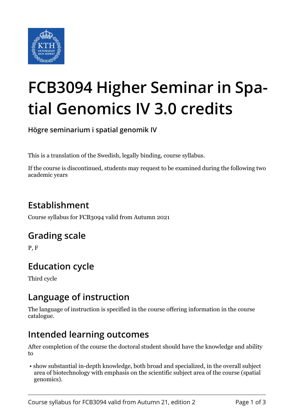

# **FCB3094 Higher Seminar in Spatial Genomics IV 3.0 credits**

**Högre seminarium i spatial genomik IV**

This is a translation of the Swedish, legally binding, course syllabus.

If the course is discontinued, students may request to be examined during the following two academic years

# **Establishment**

Course syllabus for FCB3094 valid from Autumn 2021

#### **Grading scale**

P, F

## **Education cycle**

Third cycle

#### **Language of instruction**

The language of instruction is specified in the course offering information in the course catalogue.

#### **Intended learning outcomes**

After completion of the course the doctoral student should have the knowledge and ability to

 • show substantial in-depth knowledge, both broad and specialized, in the overall subject area of biotechnology with emphasis on the scientific subject area of the course (spatial genomics).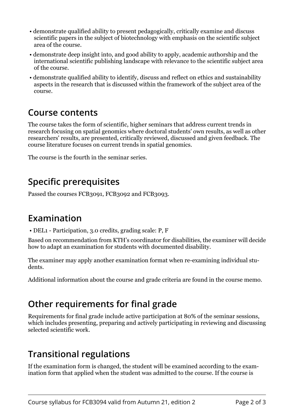- demonstrate qualified ability to present pedagogically, critically examine and discuss scientific papers in the subject of biotechnology with emphasis on the scientific subject area of the course.
- demonstrate deep insight into, and good ability to apply, academic authorship and the international scientific publishing landscape with relevance to the scientific subject area of the course.
- demonstrate qualified ability to identify, discuss and reflect on ethics and sustainability aspects in the research that is discussed within the framework of the subject area of the course.

#### **Course contents**

The course takes the form of scientific, higher seminars that address current trends in research focusing on spatial genomics where doctoral students' own results, as well as other researchers' results, are presented, critically reviewed, discussed and given feedback. The course literature focuses on current trends in spatial genomics.

The course is the fourth in the seminar series.

# **Specific prerequisites**

Passed the courses FCB3091, FCB3092 and FCB3093.

#### **Examination**

• DEL1 - Participation, 3.0 credits, grading scale: P, F

Based on recommendation from KTH's coordinator for disabilities, the examiner will decide how to adapt an examination for students with documented disability.

The examiner may apply another examination format when re-examining individual students.

Additional information about the course and grade criteria are found in the course memo.

# **Other requirements for final grade**

Requirements for final grade include active participation at 80% of the seminar sessions, which includes presenting, preparing and actively participating in reviewing and discussing selected scientific work.

## **Transitional regulations**

If the examination form is changed, the student will be examined according to the examination form that applied when the student was admitted to the course. If the course is